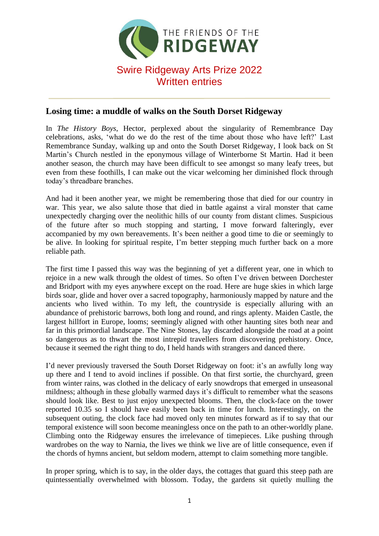

## **Losing time: a muddle of walks on the South Dorset Ridgeway**

In *The History Boys*, Hector, perplexed about the singularity of Remembrance Day celebrations, asks, 'what do we do the rest of the time about those who have left?' Last Remembrance Sunday, walking up and onto the South Dorset Ridgeway, I look back on St Martin's Church nestled in the eponymous village of Winterborne St Martin. Had it been another season, the church may have been difficult to see amongst so many leafy trees, but even from these foothills, I can make out the vicar welcoming her diminished flock through today's threadbare branches.

And had it been another year, we might be remembering those that died for our country in war. This year, we also salute those that died in battle against a viral monster that came unexpectedly charging over the neolithic hills of our county from distant climes. Suspicious of the future after so much stopping and starting, I move forward falteringly, ever accompanied by my own bereavements. It's been neither a good time to die or seemingly to be alive. In looking for spiritual respite, I'm better stepping much further back on a more reliable path.

The first time I passed this way was the beginning of yet a different year, one in which to rejoice in a new walk through the oldest of times. So often I've driven between Dorchester and Bridport with my eyes anywhere except on the road. Here are huge skies in which large birds soar, glide and hover over a sacred topography, harmoniously mapped by nature and the ancients who lived within. To my left, the countryside is especially alluring with an abundance of prehistoric barrows, both long and round, and rings aplenty. Maiden Castle, the largest hillfort in Europe, looms; seemingly aligned with other haunting sites both near and far in this primordial landscape. The Nine Stones, lay discarded alongside the road at a point so dangerous as to thwart the most intrepid travellers from discovering prehistory. Once, because it seemed the right thing to do, I held hands with strangers and danced there.

I'd never previously traversed the South Dorset Ridgeway on foot: it's an awfully long way up there and I tend to avoid inclines if possible. On that first sortie, the churchyard, green from winter rains, was clothed in the delicacy of early snowdrops that emerged in unseasonal mildness; although in these globally warmed days it's difficult to remember what the seasons should look like. Best to just enjoy unexpected blooms. Then, the clock-face on the tower reported 10.35 so I should have easily been back in time for lunch. Interestingly, on the subsequent outing, the clock face had moved only ten minutes forward as if to say that our temporal existence will soon become meaningless once on the path to an other-worldly plane. Climbing onto the Ridgeway ensures the irrelevance of timepieces. Like pushing through wardrobes on the way to Narnia, the lives we think we live are of little consequence, even if the chords of hymns ancient, but seldom modern, attempt to claim something more tangible.

In proper spring, which is to say, in the older days, the cottages that guard this steep path are quintessentially overwhelmed with blossom. Today, the gardens sit quietly mulling the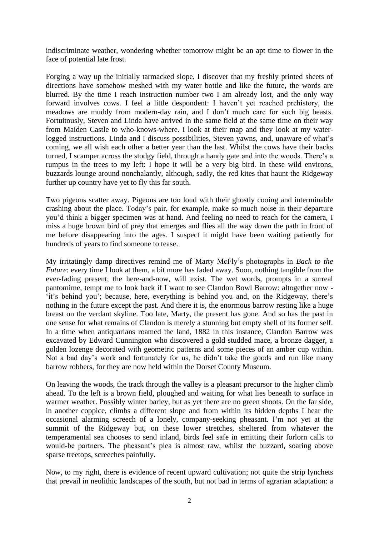indiscriminate weather, wondering whether tomorrow might be an apt time to flower in the face of potential late frost.

Forging a way up the initially tarmacked slope, I discover that my freshly printed sheets of directions have somehow meshed with my water bottle and like the future, the words are blurred. By the time I reach instruction number two I am already lost, and the only way forward involves cows. I feel a little despondent: I haven't yet reached prehistory, the meadows are muddy from modern-day rain, and I don't much care for such big beasts. Fortuitously, Steven and Linda have arrived in the same field at the same time on their way from Maiden Castle to who-knows-where. I look at their map and they look at my waterlogged instructions. Linda and I discuss possibilities, Steven yawns, and, unaware of what's coming, we all wish each other a better year than the last. Whilst the cows have their backs turned, I scamper across the stodgy field, through a handy gate and into the woods. There's a rumpus in the trees to my left: I hope it will be a very big bird. In these wild environs, buzzards lounge around nonchalantly, although, sadly, the red kites that haunt the Ridgeway further up country have yet to fly this far south.

Two pigeons scatter away. Pigeons are too loud with their ghostly cooing and interminable crashing about the place. Today's pair, for example, make so much noise in their departure you'd think a bigger specimen was at hand. And feeling no need to reach for the camera, I miss a huge brown bird of prey that emerges and flies all the way down the path in front of me before disappearing into the ages. I suspect it might have been waiting patiently for hundreds of years to find someone to tease.

My irritatingly damp directives remind me of Marty McFly's photographs in *Back to the Future*: every time I look at them, a bit more has faded away. Soon, nothing tangible from the ever-fading present, the here-and-now, will exist. The wet words, prompts in a surreal pantomime, tempt me to look back if I want to see Clandon Bowl Barrow: altogether now - 'it's behind you'; because, here, everything is behind you and, on the Ridgeway, there's nothing in the future except the past. And there it is, the enormous barrow resting like a huge breast on the verdant skyline. Too late, Marty, the present has gone. And so has the past in one sense for what remains of Clandon is merely a stunning but empty shell of its former self. In a time when antiquarians roamed the land, 1882 in this instance, Clandon Barrow was excavated by Edward Cunnington who discovered a gold studded mace, a bronze dagger, a golden lozenge decorated with geometric patterns and some pieces of an amber cup within. Not a bad day's work and fortunately for us, he didn't take the goods and run like many barrow robbers, for they are now held within the Dorset County Museum.

On leaving the woods, the track through the valley is a pleasant precursor to the higher climb ahead. To the left is a brown field, ploughed and waiting for what lies beneath to surface in warmer weather. Possibly winter barley, but as yet there are no green shoots. On the far side, in another coppice, climbs a different slope and from within its hidden depths I hear the occasional alarming screech of a lonely, company-seeking pheasant. I'm not yet at the summit of the Ridgeway but, on these lower stretches, sheltered from whatever the temperamental sea chooses to send inland, birds feel safe in emitting their forlorn calls to would-be partners. The pheasant's plea is almost raw, whilst the buzzard, soaring above sparse treetops, screeches painfully.

Now, to my right, there is evidence of recent upward cultivation; not quite the strip lynchets that prevail in neolithic landscapes of the south, but not bad in terms of agrarian adaptation: a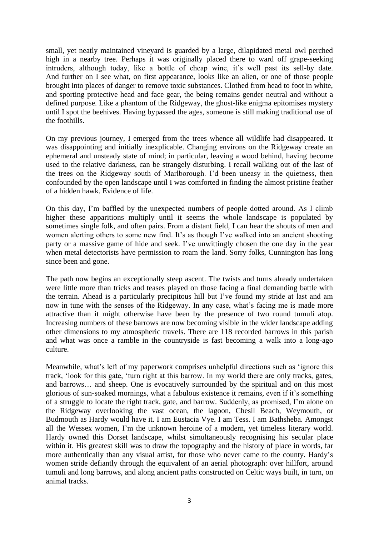small, yet neatly maintained vineyard is guarded by a large, dilapidated metal owl perched high in a nearby tree. Perhaps it was originally placed there to ward off grape-seeking intruders, although today, like a bottle of cheap wine, it's well past its sell-by date. And further on I see what, on first appearance, looks like an alien, or one of those people brought into places of danger to remove toxic substances. Clothed from head to foot in white, and sporting protective head and face gear, the being remains gender neutral and without a defined purpose. Like a phantom of the Ridgeway, the ghost-like enigma epitomises mystery until I spot the beehives. Having bypassed the ages, someone is still making traditional use of the foothills.

On my previous journey, I emerged from the trees whence all wildlife had disappeared. It was disappointing and initially inexplicable. Changing environs on the Ridgeway create an ephemeral and unsteady state of mind; in particular, leaving a wood behind, having become used to the relative darkness, can be strangely disturbing. I recall walking out of the last of the trees on the Ridgeway south of Marlborough. I'd been uneasy in the quietness, then confounded by the open landscape until I was comforted in finding the almost pristine feather of a hidden hawk. Evidence of life.

On this day, I'm baffled by the unexpected numbers of people dotted around. As I climb higher these apparitions multiply until it seems the whole landscape is populated by sometimes single folk, and often pairs. From a distant field, I can hear the shouts of men and women alerting others to some new find. It's as though I've walked into an ancient shooting party or a massive game of hide and seek. I've unwittingly chosen the one day in the year when metal detectorists have permission to roam the land. Sorry folks, Cunnington has long since been and gone.

The path now begins an exceptionally steep ascent. The twists and turns already undertaken were little more than tricks and teases played on those facing a final demanding battle with the terrain. Ahead is a particularly precipitous hill but I've found my stride at last and am now in tune with the senses of the Ridgeway. In any case, what's facing me is made more attractive than it might otherwise have been by the presence of two round tumuli atop. Increasing numbers of these barrows are now becoming visible in the wider landscape adding other dimensions to my atmospheric travels. There are 118 recorded barrows in this parish and what was once a ramble in the countryside is fast becoming a walk into a long-ago culture.

Meanwhile, what's left of my paperwork comprises unhelpful directions such as 'ignore this track, 'look for this gate, 'turn right at this barrow. In my world there are only tracks, gates, and barrows… and sheep. One is evocatively surrounded by the spiritual and on this most glorious of sun-soaked mornings, what a fabulous existence it remains, even if it's something of a struggle to locate the right track, gate, and barrow. Suddenly, as promised, I'm alone on the Ridgeway overlooking the vast ocean, the lagoon, Chesil Beach, Weymouth, or Budmouth as Hardy would have it. I am Eustacia Vye. I am Tess. I am Bathsheba. Amongst all the Wessex women, I'm the unknown heroine of a modern, yet timeless literary world. Hardy owned this Dorset landscape, whilst simultaneously recognising his secular place within it. His greatest skill was to draw the topography and the history of place in words, far more authentically than any visual artist, for those who never came to the county. Hardy's women stride defiantly through the equivalent of an aerial photograph: over hillfort, around tumuli and long barrows, and along ancient paths constructed on Celtic ways built, in turn, on animal tracks.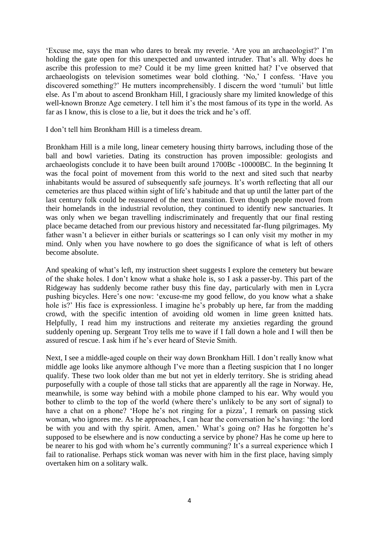'Excuse me, says the man who dares to break my reverie. 'Are you an archaeologist?' I'm holding the gate open for this unexpected and unwanted intruder. That's all. Why does he ascribe this profession to me? Could it be my lime green knitted hat? I've observed that archaeologists on television sometimes wear bold clothing. 'No,' I confess. 'Have you discovered something?' He mutters incomprehensibly. I discern the word 'tumuli' but little else. As I'm about to ascend Bronkham Hill, I graciously share my limited knowledge of this well-known Bronze Age cemetery. I tell him it's the most famous of its type in the world. As far as I know, this is close to a lie, but it does the trick and he's off.

I don't tell him Bronkham Hill is a timeless dream.

Bronkham Hill is a mile long, linear cemetery housing thirty barrows, including those of the ball and bowl varieties. Dating its construction has proven impossible: geologists and archaeologists conclude it to have been built around 1700Bc -10000BC. In the beginning It was the focal point of movement from this world to the next and sited such that nearby inhabitants would be assured of subsequently safe journeys. It's worth reflecting that all our cemeteries are thus placed within sight of life's habitude and that up until the latter part of the last century folk could be reassured of the next transition. Even though people moved from their homelands in the industrial revolution, they continued to identify new sanctuaries. It was only when we began travelling indiscriminately and frequently that our final resting place became detached from our previous history and necessitated far-flung pilgrimages. My father wasn't a believer in either burials or scatterings so I can only visit my mother in my mind. Only when you have nowhere to go does the significance of what is left of others become absolute.

And speaking of what's left, my instruction sheet suggests I explore the cemetery but beware of the shake holes. I don't know what a shake hole is, so I ask a passer-by. This part of the Ridgeway has suddenly become rather busy this fine day, particularly with men in Lycra pushing bicycles. Here's one now: 'excuse-me my good fellow, do you know what a shake hole is?' His face is expressionless. I imagine he's probably up here, far from the madding crowd, with the specific intention of avoiding old women in lime green knitted hats. Helpfully, I read him my instructions and reiterate my anxieties regarding the ground suddenly opening up. Sergeant Troy tells me to wave if I fall down a hole and I will then be assured of rescue. I ask him if he's ever heard of Stevie Smith.

Next, I see a middle-aged couple on their way down Bronkham Hill. I don't really know what middle age looks like anymore although I've more than a fleeting suspicion that I no longer qualify. These two look older than me but not yet in elderly territory. She is striding ahead purposefully with a couple of those tall sticks that are apparently all the rage in Norway. He, meanwhile, is some way behind with a mobile phone clamped to his ear. Why would you bother to climb to the top of the world (where there's unlikely to be any sort of signal) to have a chat on a phone? 'Hope he's not ringing for a pizza', I remark on passing stick woman, who ignores me. As he approaches, I can hear the conversation he's having: 'the lord be with you and with thy spirit. Amen, amen.' What's going on? Has he forgotten he's supposed to be elsewhere and is now conducting a service by phone? Has he come up here to be nearer to his god with whom he's currently communing? It's a surreal experience which I fail to rationalise. Perhaps stick woman was never with him in the first place, having simply overtaken him on a solitary walk.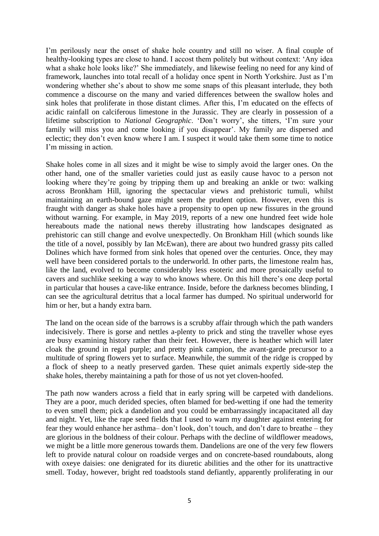I'm perilously near the onset of shake hole country and still no wiser. A final couple of healthy-looking types are close to hand. I accost them politely but without context: 'Any idea what a shake hole looks like?' She immediately, and likewise feeling no need for any kind of framework, launches into total recall of a holiday once spent in North Yorkshire. Just as I'm wondering whether she's about to show me some snaps of this pleasant interlude, they both commence a discourse on the many and varied differences between the swallow holes and sink holes that proliferate in those distant climes. After this, I'm educated on the effects of acidic rainfall on calciferous limestone in the Jurassic. They are clearly in possession of a lifetime subscription to *National Geographic*. 'Don't worry', she titters, 'I'm sure your family will miss you and come looking if you disappear'. My family are dispersed and eclectic; they don't even know where I am. I suspect it would take them some time to notice I'm missing in action.

Shake holes come in all sizes and it might be wise to simply avoid the larger ones. On the other hand, one of the smaller varieties could just as easily cause havoc to a person not looking where they're going by tripping them up and breaking an ankle or two: walking across Bronkham Hill, ignoring the spectacular views and prehistoric tumuli, whilst maintaining an earth-bound gaze might seem the prudent option. However, even this is fraught with danger as shake holes have a propensity to open up new fissures in the ground without warning. For example, in May 2019, reports of a new one hundred feet wide hole hereabouts made the national news thereby illustrating how landscapes designated as prehistoric can still change and evolve unexpectedly. On Bronkham Hill (which sounds like the title of a novel, possibly by Ian McEwan), there are about two hundred grassy pits called Dolines which have formed from sink holes that opened over the centuries. Once, they may well have been considered portals to the underworld. In other parts, the limestone realm has, like the land, evolved to become considerably less esoteric and more prosaically useful to cavers and suchlike seeking a way to who knows where. On this hill there's one deep portal in particular that houses a cave-like entrance. Inside, before the darkness becomes blinding, I can see the agricultural detritus that a local farmer has dumped. No spiritual underworld for him or her, but a handy extra barn.

The land on the ocean side of the barrows is a scrubby affair through which the path wanders indecisively. There is gorse and nettles a-plenty to prick and sting the traveller whose eyes are busy examining history rather than their feet. However, there is heather which will later cloak the ground in regal purple; and pretty pink campion, the avant-garde precursor to a multitude of spring flowers yet to surface. Meanwhile, the summit of the ridge is cropped by a flock of sheep to a neatly preserved garden. These quiet animals expertly side-step the shake holes, thereby maintaining a path for those of us not yet cloven-hoofed.

The path now wanders across a field that in early spring will be carpeted with dandelions. They are a poor, much derided species, often blamed for bed-wetting if one had the temerity to even smell them; pick a dandelion and you could be embarrassingly incapacitated all day and night. Yet, like the rape seed fields that I used to warn my daughter against entering for fear they would enhance her asthma– don't look, don't touch, and don't dare to breathe – they are glorious in the boldness of their colour. Perhaps with the decline of wildflower meadows, we might be a little more generous towards them. Dandelions are one of the very few flowers left to provide natural colour on roadside verges and on concrete-based roundabouts, along with oxeye daisies: one denigrated for its diuretic abilities and the other for its unattractive smell. Today, however, bright red toadstools stand defiantly, apparently proliferating in our